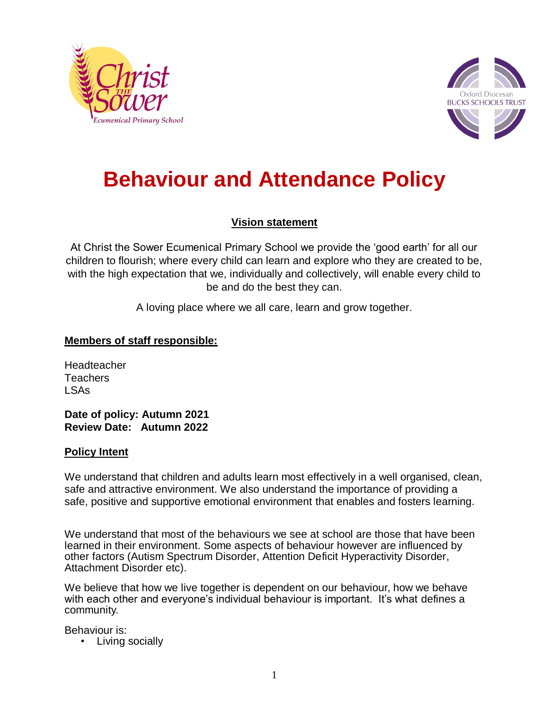



# **Behaviour and Attendance Policy**

## **Vision statement**

At Christ the Sower Ecumenical Primary School we provide the 'good earth' for all our children to flourish; where every child can learn and explore who they are created to be, with the high expectation that we, individually and collectively, will enable every child to be and do the best they can.

A loving place where we all care, learn and grow together.

## **Members of staff responsible:**

Headteacher Teachers LSAs

**Date of policy: Autumn 2021 Review Date: Autumn 2022**

#### **Policy Intent**

We understand that children and adults learn most effectively in a well organised, clean, safe and attractive environment. We also understand the importance of providing a safe, positive and supportive emotional environment that enables and fosters learning.

We understand that most of the behaviours we see at school are those that have been learned in their environment. Some aspects of behaviour however are influenced by other factors (Autism Spectrum Disorder, Attention Deficit Hyperactivity Disorder, Attachment Disorder etc).

We believe that how we live together is dependent on our behaviour, how we behave with each other and everyone's individual behaviour is important. It's what defines a community.

Behaviour is:

• Living socially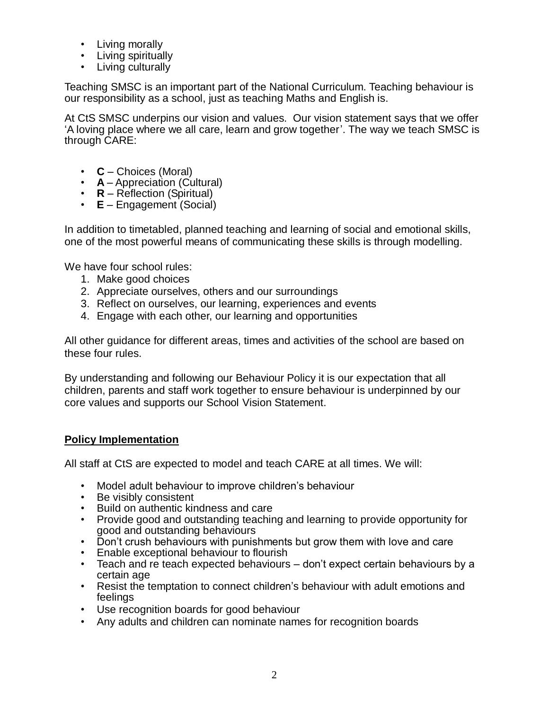- Living morally
- Living spiritually
- Living culturally

Teaching SMSC is an important part of the National Curriculum. Teaching behaviour is our responsibility as a school, just as teaching Maths and English is.

At CtS SMSC underpins our vision and values. Our vision statement says that we offer 'A loving place where we all care, learn and grow together'. The way we teach SMSC is through CARE:

- **C**  Choices (Moral)
- **A**  Appreciation (Cultural)
- **R**  Reflection (Spiritual)
- **E** Engagement (Social)

In addition to timetabled, planned teaching and learning of social and emotional skills, one of the most powerful means of communicating these skills is through modelling.

We have four school rules:

- 1. Make good choices
- 2. Appreciate ourselves, others and our surroundings
- 3. Reflect on ourselves, our learning, experiences and events
- 4. Engage with each other, our learning and opportunities

All other guidance for different areas, times and activities of the school are based on these four rules.

By understanding and following our Behaviour Policy it is our expectation that all children, parents and staff work together to ensure behaviour is underpinned by our core values and supports our School Vision Statement.

## **Policy Implementation**

All staff at CtS are expected to model and teach CARE at all times. We will:

- Model adult behaviour to improve children's behaviour
- Be visibly consistent
- Build on authentic kindness and care
- Provide good and outstanding teaching and learning to provide opportunity for good and outstanding behaviours
- Don't crush behaviours with punishments but grow them with love and care
- Enable exceptional behaviour to flourish
- Teach and re teach expected behaviours don't expect certain behaviours by a certain age
- Resist the temptation to connect children's behaviour with adult emotions and feelings
- Use recognition boards for good behaviour
- Any adults and children can nominate names for recognition boards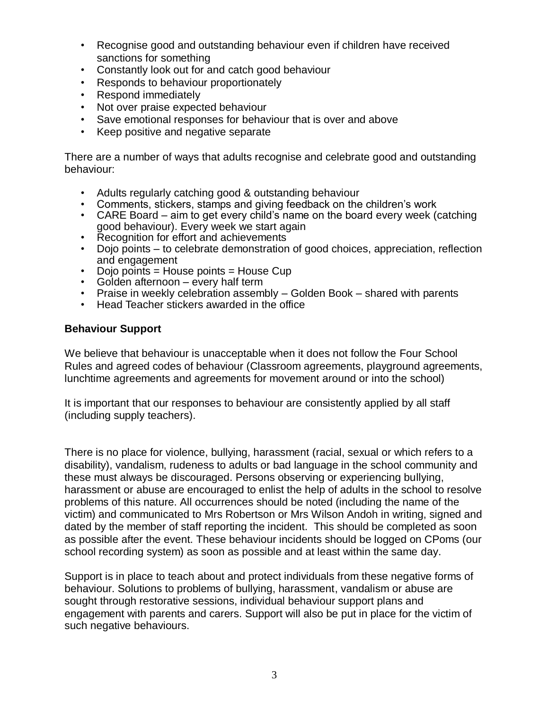- Recognise good and outstanding behaviour even if children have received sanctions for something
- Constantly look out for and catch good behaviour
- Responds to behaviour proportionately
- Respond immediately
- Not over praise expected behaviour
- Save emotional responses for behaviour that is over and above
- Keep positive and negative separate

There are a number of ways that adults recognise and celebrate good and outstanding behaviour:

- Adults regularly catching good & outstanding behaviour
- Comments, stickers, stamps and giving feedback on the children's work
- CARE Board aim to get every child's name on the board every week (catching good behaviour). Every week we start again
- Recognition for effort and achievements
- Dojo points to celebrate demonstration of good choices, appreciation, reflection and engagement
- Dojo points = House points = House Cup
- Golden afternoon every half term
- Praise in weekly celebration assembly Golden Book shared with parents
- Head Teacher stickers awarded in the office

#### **Behaviour Support**

We believe that behaviour is unacceptable when it does not follow the Four School Rules and agreed codes of behaviour (Classroom agreements, playground agreements, lunchtime agreements and agreements for movement around or into the school)

It is important that our responses to behaviour are consistently applied by all staff (including supply teachers).

There is no place for violence, bullying, harassment (racial, sexual or which refers to a disability), vandalism, rudeness to adults or bad language in the school community and these must always be discouraged. Persons observing or experiencing bullying, harassment or abuse are encouraged to enlist the help of adults in the school to resolve problems of this nature. All occurrences should be noted (including the name of the victim) and communicated to Mrs Robertson or Mrs Wilson Andoh in writing, signed and dated by the member of staff reporting the incident. This should be completed as soon as possible after the event. These behaviour incidents should be logged on CPoms (our school recording system) as soon as possible and at least within the same day.

Support is in place to teach about and protect individuals from these negative forms of behaviour. Solutions to problems of bullying, harassment, vandalism or abuse are sought through restorative sessions, individual behaviour support plans and engagement with parents and carers. Support will also be put in place for the victim of such negative behaviours.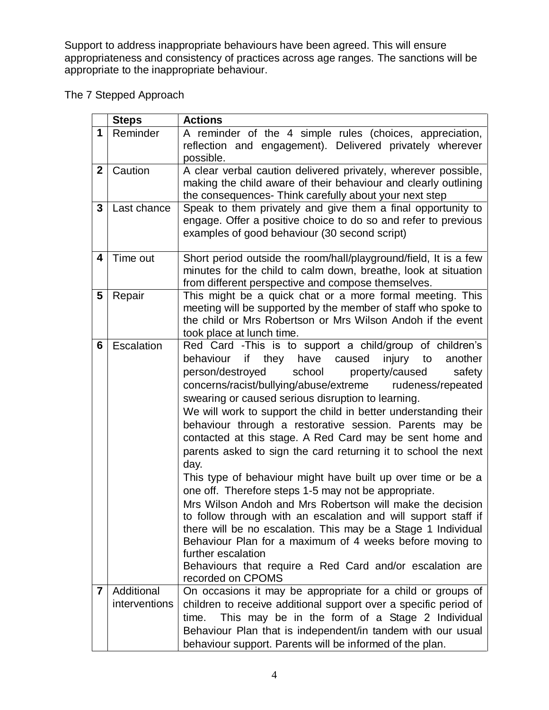Support to address inappropriate behaviours have been agreed. This will ensure appropriateness and consistency of practices across age ranges. The sanctions will be appropriate to the inappropriate behaviour.

The 7 Stepped Approach

|                 | <b>Steps</b>                | <b>Actions</b>                                                                                                                                                                                                                                                                                                                                                                                                                                                                                                                                                                                                                                                                                                                                                                                                                                                                                                                                                                                                                                                |
|-----------------|-----------------------------|---------------------------------------------------------------------------------------------------------------------------------------------------------------------------------------------------------------------------------------------------------------------------------------------------------------------------------------------------------------------------------------------------------------------------------------------------------------------------------------------------------------------------------------------------------------------------------------------------------------------------------------------------------------------------------------------------------------------------------------------------------------------------------------------------------------------------------------------------------------------------------------------------------------------------------------------------------------------------------------------------------------------------------------------------------------|
| 1               | Reminder                    | A reminder of the 4 simple rules (choices, appreciation,<br>reflection and engagement). Delivered privately wherever<br>possible.                                                                                                                                                                                                                                                                                                                                                                                                                                                                                                                                                                                                                                                                                                                                                                                                                                                                                                                             |
| $\mathbf{2}$    | Caution                     | A clear verbal caution delivered privately, wherever possible,<br>making the child aware of their behaviour and clearly outlining<br>the consequences- Think carefully about your next step                                                                                                                                                                                                                                                                                                                                                                                                                                                                                                                                                                                                                                                                                                                                                                                                                                                                   |
| $\mathbf{3}$    | Last chance                 | Speak to them privately and give them a final opportunity to<br>engage. Offer a positive choice to do so and refer to previous<br>examples of good behaviour (30 second script)                                                                                                                                                                                                                                                                                                                                                                                                                                                                                                                                                                                                                                                                                                                                                                                                                                                                               |
| 4               | Time out                    | Short period outside the room/hall/playground/field, It is a few<br>minutes for the child to calm down, breathe, look at situation<br>from different perspective and compose themselves.                                                                                                                                                                                                                                                                                                                                                                                                                                                                                                                                                                                                                                                                                                                                                                                                                                                                      |
| $5\phantom{.0}$ | Repair                      | This might be a quick chat or a more formal meeting. This<br>meeting will be supported by the member of staff who spoke to<br>the child or Mrs Robertson or Mrs Wilson Andoh if the event<br>took place at lunch time.                                                                                                                                                                                                                                                                                                                                                                                                                                                                                                                                                                                                                                                                                                                                                                                                                                        |
| 6               | Escalation                  | Red Card -This is to support a child/group of children's<br>behaviour<br>if they have caused<br>injury<br>to<br>another<br>person/destroyed school property/caused<br>safety<br>concerns/racist/bullying/abuse/extreme rudeness/repeated<br>swearing or caused serious disruption to learning.<br>We will work to support the child in better understanding their<br>behaviour through a restorative session. Parents may be<br>contacted at this stage. A Red Card may be sent home and<br>parents asked to sign the card returning it to school the next<br>day.<br>This type of behaviour might have built up over time or be a<br>one off. Therefore steps 1-5 may not be appropriate.<br>Mrs Wilson Andoh and Mrs Robertson will make the decision<br>to follow through with an escalation and will support staff if<br>there will be no escalation. This may be a Stage 1 Individual<br>Behaviour Plan for a maximum of 4 weeks before moving to<br>further escalation<br>Behaviours that require a Red Card and/or escalation are<br>recorded on CPOMS |
| $\overline{7}$  | Additional<br>interventions | On occasions it may be appropriate for a child or groups of<br>children to receive additional support over a specific period of<br>This may be in the form of a Stage 2 Individual<br>time.<br>Behaviour Plan that is independent/in tandem with our usual<br>behaviour support. Parents will be informed of the plan.                                                                                                                                                                                                                                                                                                                                                                                                                                                                                                                                                                                                                                                                                                                                        |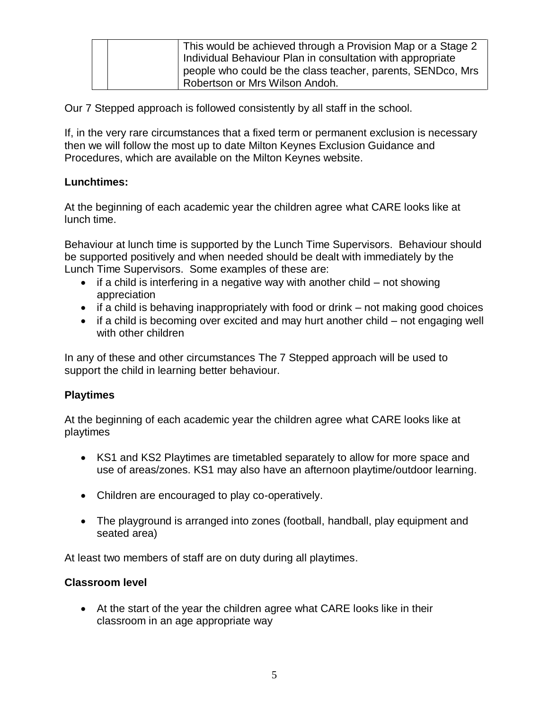|  | This would be achieved through a Provision Map or a Stage 2<br>Individual Behaviour Plan in consultation with appropriate |
|--|---------------------------------------------------------------------------------------------------------------------------|
|  | people who could be the class teacher, parents, SENDco, Mrs<br>Robertson or Mrs Wilson Andoh.                             |

Our 7 Stepped approach is followed consistently by all staff in the school.

If, in the very rare circumstances that a fixed term or permanent exclusion is necessary then we will follow the most up to date Milton Keynes Exclusion Guidance and Procedures, which are available on the Milton Keynes website.

### **Lunchtimes:**

At the beginning of each academic year the children agree what CARE looks like at lunch time.

Behaviour at lunch time is supported by the Lunch Time Supervisors. Behaviour should be supported positively and when needed should be dealt with immediately by the Lunch Time Supervisors. Some examples of these are:

- $\bullet$  if a child is interfering in a negative way with another child not showing appreciation
- $\bullet$  if a child is behaving inappropriately with food or drink not making good choices
- if a child is becoming over excited and may hurt another child not engaging well with other children

In any of these and other circumstances The 7 Stepped approach will be used to support the child in learning better behaviour.

## **Playtimes**

At the beginning of each academic year the children agree what CARE looks like at playtimes

- KS1 and KS2 Playtimes are timetabled separately to allow for more space and use of areas/zones. KS1 may also have an afternoon playtime/outdoor learning.
- Children are encouraged to play co-operatively.
- The playground is arranged into zones (football, handball, play equipment and seated area)

At least two members of staff are on duty during all playtimes.

#### **Classroom level**

 At the start of the year the children agree what CARE looks like in their classroom in an age appropriate way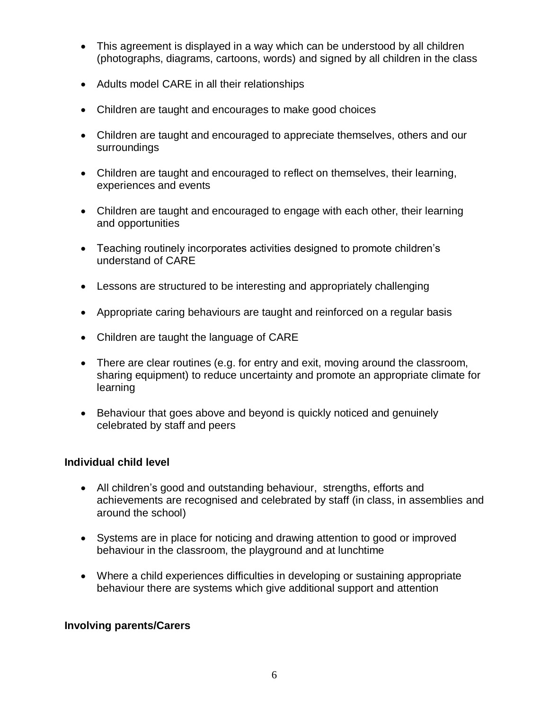- This agreement is displayed in a way which can be understood by all children (photographs, diagrams, cartoons, words) and signed by all children in the class
- Adults model CARE in all their relationships
- Children are taught and encourages to make good choices
- Children are taught and encouraged to appreciate themselves, others and our surroundings
- Children are taught and encouraged to reflect on themselves, their learning, experiences and events
- Children are taught and encouraged to engage with each other, their learning and opportunities
- Teaching routinely incorporates activities designed to promote children's understand of CARE
- Lessons are structured to be interesting and appropriately challenging
- Appropriate caring behaviours are taught and reinforced on a regular basis
- Children are taught the language of CARE
- There are clear routines (e.g. for entry and exit, moving around the classroom, sharing equipment) to reduce uncertainty and promote an appropriate climate for learning
- Behaviour that goes above and beyond is quickly noticed and genuinely celebrated by staff and peers

## **Individual child level**

- All children's good and outstanding behaviour, strengths, efforts and achievements are recognised and celebrated by staff (in class, in assemblies and around the school)
- Systems are in place for noticing and drawing attention to good or improved behaviour in the classroom, the playground and at lunchtime
- Where a child experiences difficulties in developing or sustaining appropriate behaviour there are systems which give additional support and attention

#### **Involving parents/Carers**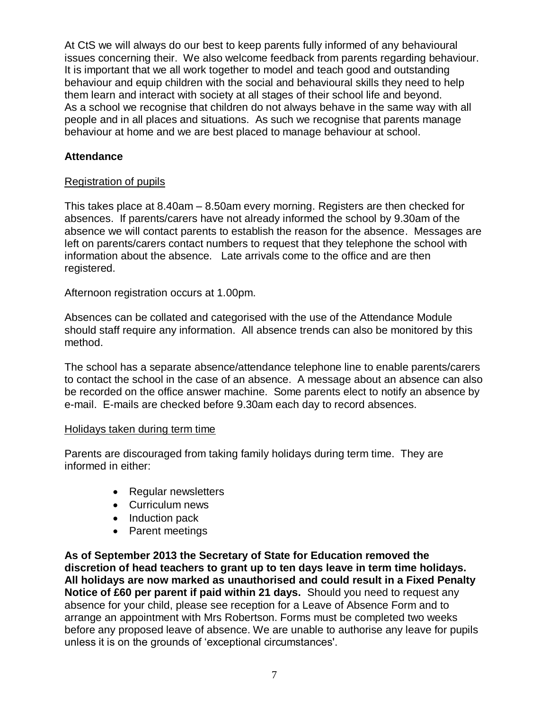At CtS we will always do our best to keep parents fully informed of any behavioural issues concerning their. We also welcome feedback from parents regarding behaviour. It is important that we all work together to model and teach good and outstanding behaviour and equip children with the social and behavioural skills they need to help them learn and interact with society at all stages of their school life and beyond. As a school we recognise that children do not always behave in the same way with all people and in all places and situations. As such we recognise that parents manage behaviour at home and we are best placed to manage behaviour at school.

#### **Attendance**

### Registration of pupils

This takes place at 8.40am – 8.50am every morning. Registers are then checked for absences. If parents/carers have not already informed the school by 9.30am of the absence we will contact parents to establish the reason for the absence. Messages are left on parents/carers contact numbers to request that they telephone the school with information about the absence. Late arrivals come to the office and are then registered.

Afternoon registration occurs at 1.00pm.

Absences can be collated and categorised with the use of the Attendance Module should staff require any information. All absence trends can also be monitored by this method.

The school has a separate absence/attendance telephone line to enable parents/carers to contact the school in the case of an absence. A message about an absence can also be recorded on the office answer machine. Some parents elect to notify an absence by e-mail. E-mails are checked before 9.30am each day to record absences.

#### Holidays taken during term time

Parents are discouraged from taking family holidays during term time. They are informed in either:

- Regular newsletters
- Curriculum news
- Induction pack
- Parent meetings

**As of September 2013 the Secretary of State for Education removed the discretion of head teachers to grant up to ten days leave in term time holidays. All holidays are now marked as unauthorised and could result in a Fixed Penalty Notice of £60 per parent if paid within 21 days.** Should you need to request any absence for your child, please see reception for a Leave of Absence Form and to arrange an appointment with Mrs Robertson. Forms must be completed two weeks before any proposed leave of absence. We are unable to authorise any leave for pupils unless it is on the grounds of 'exceptional circumstances'.